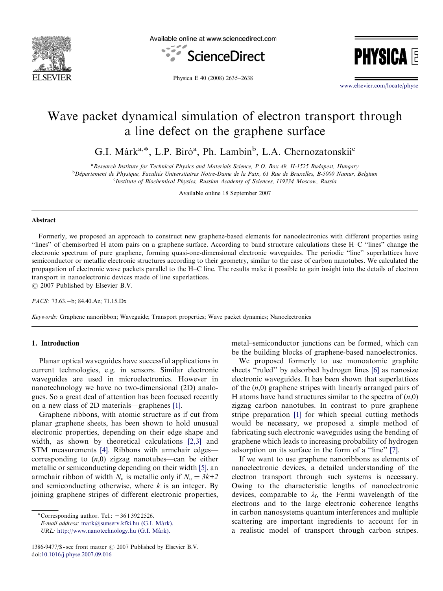

Available online at www.sciencedirect.com



**PHYSICA** 

Physica E 40 (2008) 2635–2638

<www.elsevier.com/locate/physe>

# Wave packet dynamical simulation of electron transport through a line defect on the graphene surface

G.I. Márk<sup>a,\*</sup>, L.P. Biró<sup>a</sup>, Ph. Lambin<sup>b</sup>, L.A. Chernozatonskii<sup>c</sup>

<sup>a</sup> Research Institute for Technical Physics and Materials Science, P.O. Box 49, H-1525 Budapest, Hungary

<sup>b</sup> Département de Physique, Facultés Universitaires Notre-Dame de la Paix, 61 Rue de Bruxelles, B-5000 Namur, Belgium <sup>c</sup>Institute of Biochemical Physics, Russian Academy of Sciences, 119334 Moscow, Russia

Available online 18 September 2007

#### Abstract

Formerly, we proposed an approach to construct new graphene-based elements for nanoelectronics with different properties using ''lines'' of chemisorbed H atom pairs on a graphene surface. According to band structure calculations these H–C ''lines'' change the electronic spectrum of pure graphene, forming quasi-one-dimensional electronic waveguides. The periodic ''line'' superlattices have semiconductor or metallic electronic structures according to their geometry, similar to the case of carbon nanotubes. We calculated the propagation of electronic wave packets parallel to the H–C line. The results make it possible to gain insight into the details of electron transport in nanoelectronic devices made of line superlattices.  $\odot$  2007 Published by Elsevier B.V.

PACS: 73.63.-b; 84.40.Az; 71.15.Dx

Keywords: Graphene nanoribbon; Waveguide; Transport properties; Wave packet dynamics; Nanoelectronics

# 1. Introduction

Planar optical waveguides have successful applications in current technologies, e.g. in sensors. Similar electronic waveguides are used in microelectronics. However in nanotechnology we have no two-dimensional (2D) analogues. So a great deal of attention has been focused recently on a new class of 2D materials—graphenes [\[1\].](#page-3-0)

Graphene ribbons, with atomic structure as if cut from planar graphene sheets, has been shown to hold unusual electronic properties, depending on their edge shape and width, as shown by theoretical calculations [\[2,3\]](#page-3-0) and STM measurements [\[4\]](#page-3-0). Ribbons with armchair edges corresponding to  $(n,0)$  zigzag nanotubes—can be either metallic or semiconducting depending on their width [\[5\],](#page-3-0) an armchair ribbon of width  $N_a$  is metallic only if  $N_a = 3k+2$ and semiconducting otherwise, where  $k$  is an integer. By joining graphene stripes of different electronic properties, metal–semiconductor junctions can be formed, which can be the building blocks of graphene-based nanoelectronics.

We proposed formerly to use monoatomic graphite sheets "ruled" by adsorbed hydrogen lines [\[6\]](#page-3-0) as nanosize electronic waveguides. It has been shown that superlattices of the  $(n,0)$  graphene stripes with linearly arranged pairs of H atoms have band structures similar to the spectra of  $(n,0)$ zigzag carbon nanotubes. In contrast to pure graphene stripe preparation [\[1\]](#page-3-0) for which special cutting methods would be necessary, we proposed a simple method of fabricating such electronic waveguides using the bending of graphene which leads to increasing probability of hydrogen adsorption on its surface in the form of a ''line'' [\[7\].](#page-3-0)

If we want to use graphene nanoribbons as elements of nanoelectronic devices, a detailed understanding of the electron transport through such systems is necessary. Owing to the characteristic lengths of nanoelectronic devices, comparable to  $\lambda_f$ , the Fermi wavelength of the electrons and to the large electronic coherence lengths in carbon nanosystems quantum interferences and multiple scattering are important ingredients to account for in a realistic model of transport through carbon stripes.

<sup>-</sup>Corresponding author. Tel.: +36 1 392 2526.

E-mail address: mark@sunserv.kfki.hu (G.I. Márk).

URL: http://www.nanotechnology.hu (G.I. Márk).

<sup>1386-9477/\$ -</sup> see front matter  $\odot$  2007 Published by Elsevier B.V. doi:[10.1016/j.physe.2007.09.016](dx.doi.org/10.1016/j.physe.2007.09.016)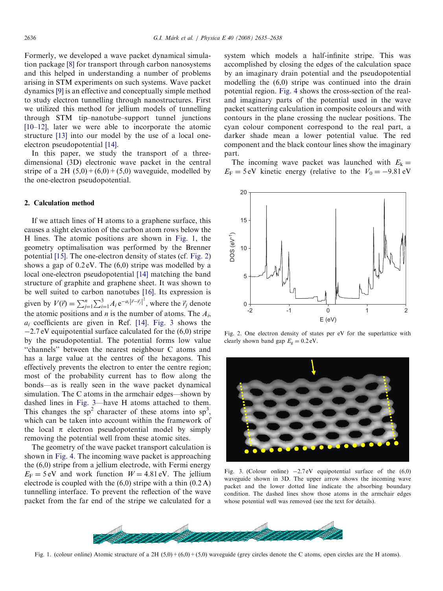Formerly, we developed a wave packet dynamical simulation package [\[8\]](#page-3-0) for transport through carbon nanosystems and this helped in understanding a number of problems arising in STM experiments on such systems. Wave packet dynamics [\[9\]](#page-3-0) is an effective and conceptually simple method to study electron tunnelling through nanostructures. First we utilized this method for jellium models of tunnelling through STM tip–nanotube–support tunnel junctions [\[10–12\]](#page-3-0), later we were able to incorporate the atomic structure [\[13\]](#page-3-0) into our model by the use of a local oneelectron pseudopotential [\[14\].](#page-3-0)

In this paper, we study the transport of a threedimensional (3D) electronic wave packet in the central stripe of a 2H  $(5,0) + (6,0) + (5,0)$  waveguide, modelled by the one-electron pseudopotential.

### 2. Calculation method

If we attach lines of H atoms to a graphene surface, this causes a slight elevation of the carbon atom rows below the H lines. The atomic positions are shown in Fig. 1, the geometry optimalisation was performed by the Brenner potential [\[15\].](#page-3-0) The one-electron density of states (cf. Fig. 2) shows a gap of 0.2 eV. The (6,0) stripe was modelled by a local one-electron pseudopotential [\[14\]](#page-3-0) matching the band structure of graphite and graphene sheet. It was shown to be well suited to carbon nanotubes [\[16\].](#page-3-0) Its expression is given by  $V(\vec{r}) = \sum_{j=1}^{n} \sum_{i=1}^{3} A_i e^{-a_i |\vec{r} - \vec{r}_j|^2}$ , where the  $\vec{r}_j$  denote the atomic positions and *n* is the number of atoms. The  $A_i$ ,  $a_i$  coefficients are given in Ref. [\[14\].](#page-3-0) Fig. 3 shows the -2.7 eV equipotential surface calculated for the (6,0) stripe by the pseudopotential. The potential forms low value ''channels'' between the nearest neighbour C atoms and has a large value at the centres of the hexagons. This effectively prevents the electron to enter the centre region; most of the probability current has to flow along the bonds—as is really seen in the wave packet dynamical simulation. The C atoms in the armchair edges—shown by dashed lines in Fig. 3—have H atoms attached to them. This changes the  $sp^2$  character of these atoms into  $sp^3$ , which can be taken into account within the framework of the local  $\pi$  electron pseudopotential model by simply removing the potential well from these atomic sites.

The geometry of the wave packet transport calculation is shown in [Fig. 4.](#page-2-0) The incoming wave packet is approaching the (6,0) stripe from a jellium electrode, with Fermi energy  $E_F = 5 \text{ eV}$  and work function  $W = 4.81 \text{ eV}$ . The jellium electrode is coupled with the  $(6,0)$  stripe with a thin  $(0.2 \text{ A})$ tunnelling interface. To prevent the reflection of the wave packet from the far end of the stripe we calculated for a

system which models a half-infinite stripe. This was accomplished by closing the edges of the calculation space by an imaginary drain potential and the pseudopotential modelling the (6,0) stripe was continued into the drain potential region. [Fig. 4](#page-2-0) shows the cross-section of the realand imaginary parts of the potential used in the wave packet scattering calculation in composite colours and with contours in the plane crossing the nuclear positions. The cyan colour component correspond to the real part, a darker shade mean a lower potential value. The red component and the black contour lines show the imaginary part.

The incoming wave packet was launched with  $E_k =$  $E_F = 5 \text{ eV}$  kinetic energy (relative to the  $V_0 = -9.81 \text{ eV}$ 



Fig. 2. One electron density of states per eV for the superlattice with clearly shown band gap  $E<sub>g</sub> = 0.2$  eV.



Fig. 3. (Colour online)  $-2.7 \text{eV}$  equipotential surface of the  $(6,0)$ waveguide shown in 3D. The upper arrow shows the incoming wave packet and the lower dotted line indicate the absorbing boundary condition. The dashed lines show those atoms in the armchair edges whose potential well was removed (see the text for details).



Fig. 1. (colour online) Atomic structure of a 2H  $(5,0)+(6,0)+(5,0)$  waveguide (grey circles denote the C atoms, open circles are the H atoms).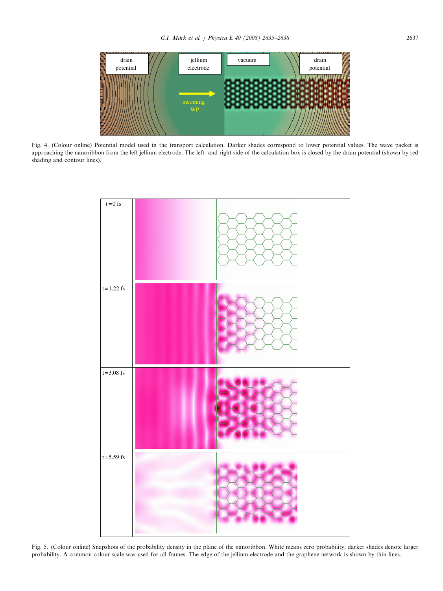<span id="page-2-0"></span>

Fig. 4. (Colour online) Potential model used in the transport calculation. Darker shades correspond to lower potential values. The wave packet is approaching the nanoribbon from the left jellium electrode. The left- and right side of the calculation box is closed by the drain potential (shown by red shading and contour lines).



Fig. 5. (Colour online) Snapshots of the probability density in the plane of the nanoribbon. White means zero probability; darker shades denote larger probability. A common colour scale was used for all frames. The edge of the jellium electrode and the graphene network is shown by thin lines.